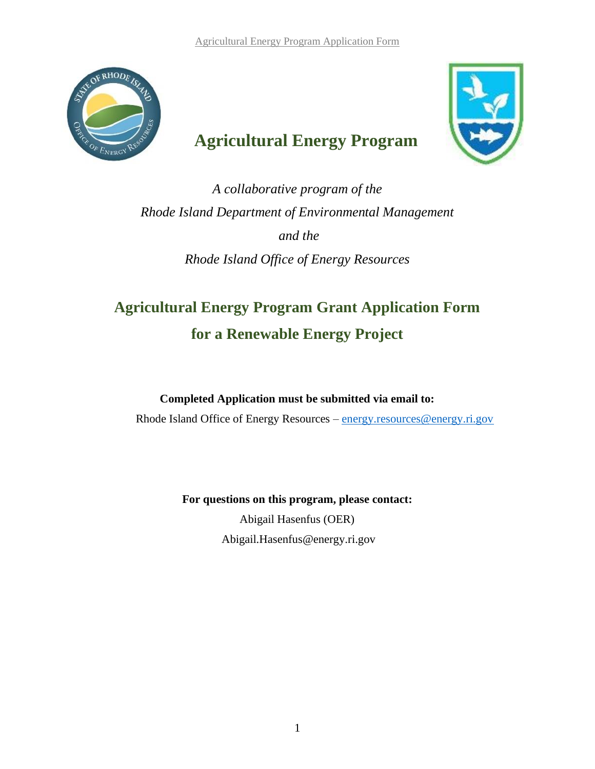

# **Agricultural Energy Program**



*A collaborative program of the Rhode Island Department of Environmental Management and the Rhode Island Office of Energy Resources*

# **Agricultural Energy Program Grant Application Form for a Renewable Energy Project**

**Completed Application must be submitted via email to:** Rhode Island Office of Energy Resources – [energy.resources@energy.ri.gov](mailto:energy.resources@energy.ri.gov)

> **For questions on this program, please contact:** Abigail Hasenfus (OER) Abigail.Hasenfus@energy.ri.gov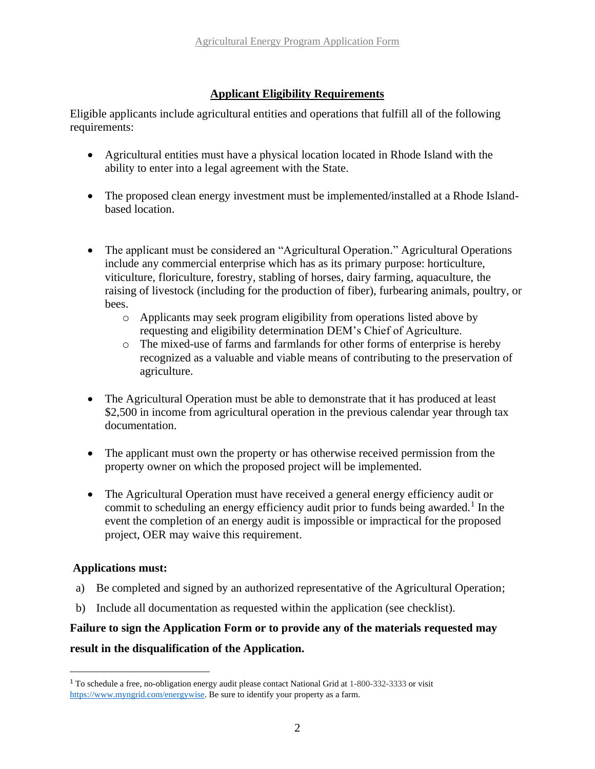### **Applicant Eligibility Requirements**

Eligible applicants include agricultural entities and operations that fulfill all of the following requirements:

- Agricultural entities must have a physical location located in Rhode Island with the ability to enter into a legal agreement with the State.
- The proposed clean energy investment must be implemented/installed at a Rhode Islandbased location.
- The applicant must be considered an "Agricultural Operation." Agricultural Operations include any commercial enterprise which has as its primary purpose: horticulture, viticulture, floriculture, forestry, stabling of horses, dairy farming, aquaculture, the raising of livestock (including for the production of fiber), furbearing animals, poultry, or bees.
	- o Applicants may seek program eligibility from operations listed above by requesting and eligibility determination DEM's Chief of Agriculture.
	- o The mixed-use of farms and farmlands for other forms of enterprise is hereby recognized as a valuable and viable means of contributing to the preservation of agriculture.
- The Agricultural Operation must be able to demonstrate that it has produced at least \$2,500 in income from agricultural operation in the previous calendar year through tax documentation.
- The applicant must own the property or has otherwise received permission from the property owner on which the proposed project will be implemented.
- The Agricultural Operation must have received a general energy efficiency audit or commit to scheduling an energy efficiency audit prior to funds being awarded.<sup>1</sup> In the event the completion of an energy audit is impossible or impractical for the proposed project, OER may waive this requirement.

### **Applications must:**

- a) Be completed and signed by an authorized representative of the Agricultural Operation;
- b) Include all documentation as requested within the application (see checklist).

### **Failure to sign the Application Form or to provide any of the materials requested may**

#### **result in the disqualification of the Application.**

<sup>1</sup> To schedule a free, no-obligation energy audit please contact National Grid at 1-800-332-3333 or visit [https://www.myngrid.com/energywise.](about:blank) Be sure to identify your property as a farm.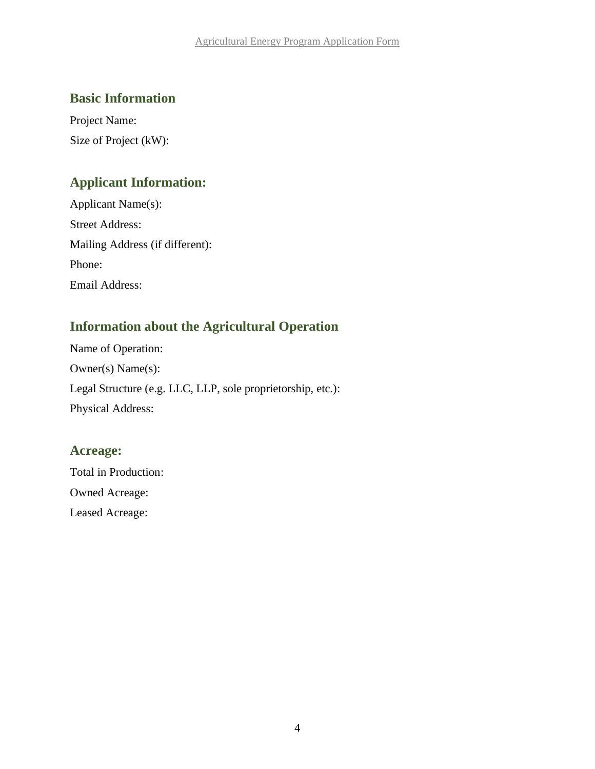### **Basic Information**

Project Name: Size of Project (kW):

### **Applicant Information:**

| Applicant Name(s):              |
|---------------------------------|
| <b>Street Address:</b>          |
| Mailing Address (if different): |
| Phone:                          |
| Email Address:                  |

### **Information about the Agricultural Operation**

Name of Operation: Owner(s) Name(s): Legal Structure (e.g. LLC, LLP, sole proprietorship, etc.): Physical Address:

### **Acreage:**

Total in Production: Owned Acreage: Leased Acreage: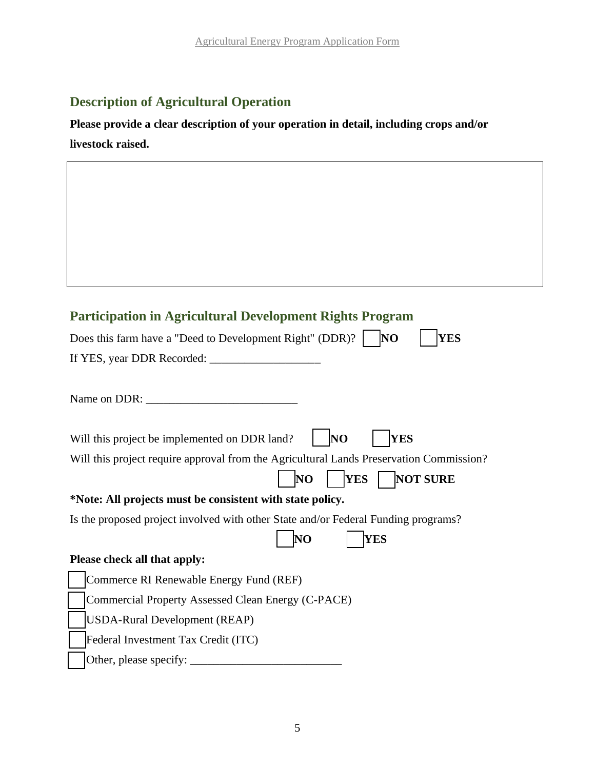### **Description of Agricultural Operation**

**Please provide a clear description of your operation in detail, including crops and/or livestock raised.**

# **Participation in Agricultural Development Rights Program**

| Does this farm have a "Deed to Development Right" (DDR)?<br>NO<br><b>YES</b>            |
|-----------------------------------------------------------------------------------------|
|                                                                                         |
|                                                                                         |
| Name on DDR: $\_\_$                                                                     |
|                                                                                         |
| <b>YES</b><br><b>NO</b><br>Will this project be implemented on DDR land?                |
| Will this project require approval from the Agricultural Lands Preservation Commission? |
| <b>YES</b><br><b>NOT SURE</b><br>NO                                                     |
| *Note: All projects must be consistent with state policy.                               |
| Is the proposed project involved with other State and/or Federal Funding programs?      |
| $\overline{\text{NO}}$<br><b>YES</b>                                                    |
| Please check all that apply:                                                            |
| Commerce RI Renewable Energy Fund (REF)                                                 |
| Commercial Property Assessed Clean Energy (C-PACE)                                      |
| <b>USDA-Rural Development (REAP)</b>                                                    |
| Federal Investment Tax Credit (ITC)                                                     |
| Other, please specify:                                                                  |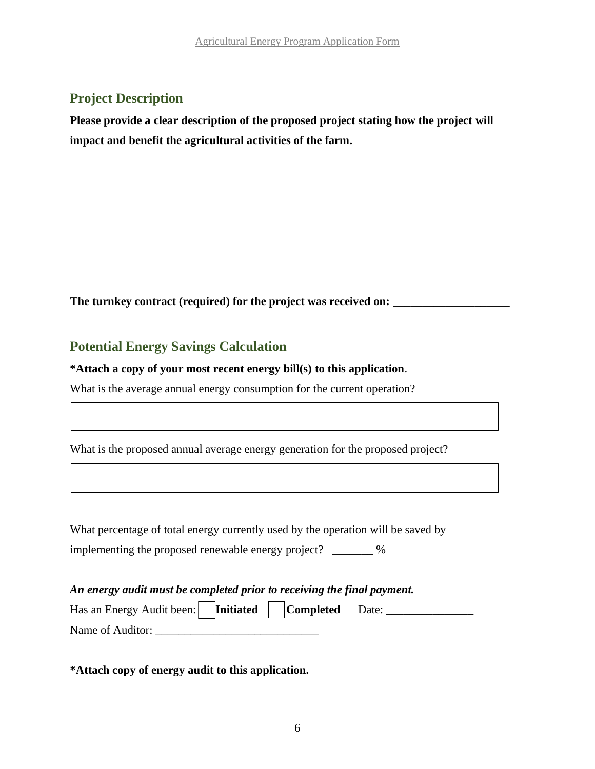### **Project Description**

**Please provide a clear description of the proposed project stating how the project will impact and benefit the agricultural activities of the farm.**

The turnkey contract (required) for the project was received on:

### **Potential Energy Savings Calculation**

**\*Attach a copy of your most recent energy bill(s) to this application**.

What is the average annual energy consumption for the current operation?

What is the proposed annual average energy generation for the proposed project?

What percentage of total energy currently used by the operation will be saved by implementing the proposed renewable energy project? \_\_\_\_\_\_\_ %

*An energy audit must be completed prior to receiving the final payment.* Has an Energy Audit been: **Initiated** Completed Date: \_\_\_\_\_\_\_\_\_\_\_\_\_\_\_\_\_\_\_\_\_\_\_\_\_\_\_ Name of Auditor:

**\*Attach copy of energy audit to this application.**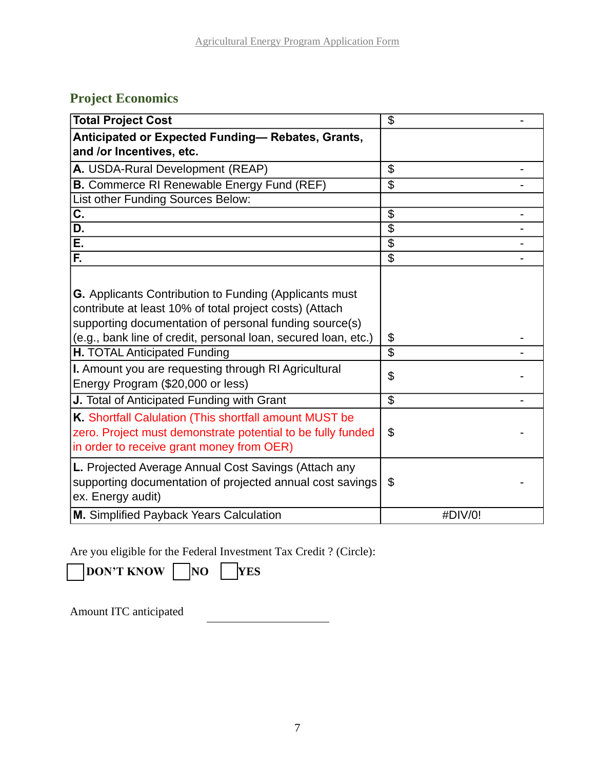# **Project Economics**

| <b>Total Project Cost</b>                                      | $\mathfrak{L}$           |
|----------------------------------------------------------------|--------------------------|
| Anticipated or Expected Funding-Rebates, Grants,               |                          |
| and /or Incentives, etc.                                       |                          |
| A. USDA-Rural Development (REAP)                               | $\mathfrak{L}$           |
| <b>B.</b> Commerce RI Renewable Energy Fund (REF)              | $\overline{\$}$          |
| List other Funding Sources Below:                              |                          |
| C.                                                             | \$                       |
| D.                                                             | $\overline{\$}$          |
| Ē.                                                             | $\overline{\$}$          |
| F.                                                             | \$                       |
|                                                                |                          |
| <b>G.</b> Applicants Contribution to Funding (Applicants must  |                          |
| contribute at least 10% of total project costs) (Attach        |                          |
| supporting documentation of personal funding source(s)         |                          |
| (e.g., bank line of credit, personal loan, secured loan, etc.) | \$                       |
| H. TOTAL Anticipated Funding                                   | $\mathfrak{L}$           |
| I. Amount you are requesting through RI Agricultural           | \$                       |
| Energy Program (\$20,000 or less)                              |                          |
| J. Total of Anticipated Funding with Grant                     | $\overline{\mathcal{G}}$ |
| K. Shortfall Calulation (This shortfall amount MUST be         |                          |
| zero. Project must demonstrate potential to be fully funded    | \$                       |
| in order to receive grant money from OER)                      |                          |
| L. Projected Average Annual Cost Savings (Attach any           |                          |
| supporting documentation of projected annual cost savings      | \$                       |
| ex. Energy audit)                                              |                          |
| M. Simplified Payback Years Calculation                        | #DIV/0!                  |

Are you eligible for the Federal Investment Tax Credit ? (Circle):

**DON'T KNOW NO YES** 

Amount ITC anticipated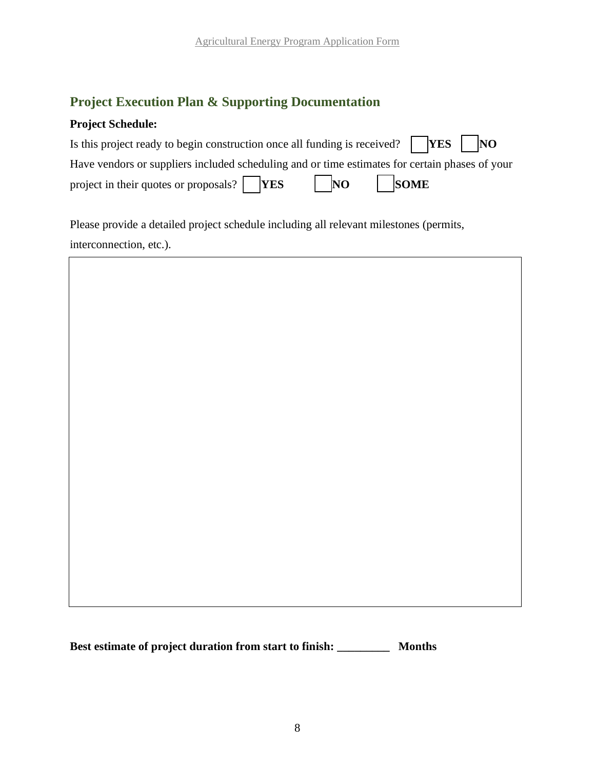### **Project Execution Plan & Supporting Documentation**

### **Project Schedule:**

| Is this project ready to begin construction once all funding is received? $\Box$ <b>YES</b> $\Box$ <b>NO</b> |         |  |
|--------------------------------------------------------------------------------------------------------------|---------|--|
| Have vendors or suppliers included scheduling and or time estimates for certain phases of your               |         |  |
| project in their quotes or proposals? $\Box$ <b>YES</b>                                                      | NO SOME |  |

Please provide a detailed project schedule including all relevant milestones (permits, interconnection, etc.).



**Best estimate of project duration from start to finish: \_\_\_\_\_\_\_\_\_ Months**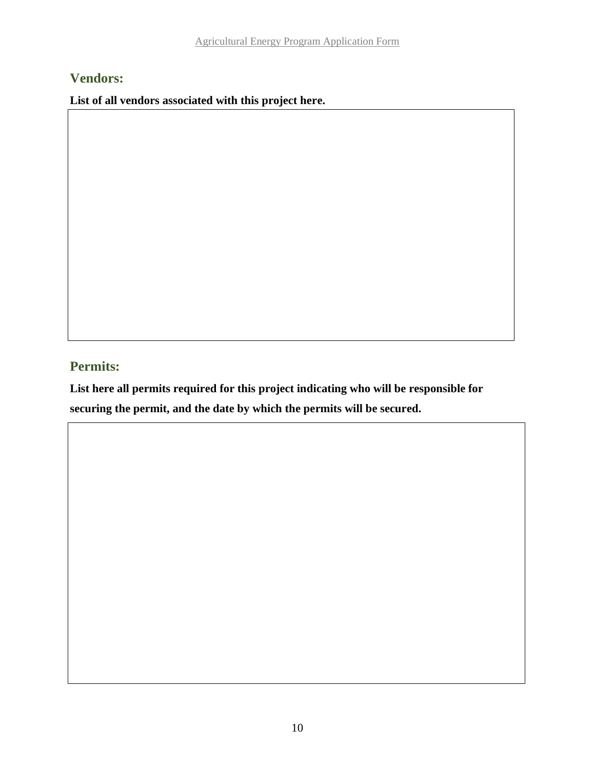### **Vendors:**

**List of all vendors associated with this project here.**

## **Permits:**

**List here all permits required for this project indicating who will be responsible for securing the permit, and the date by which the permits will be secured.**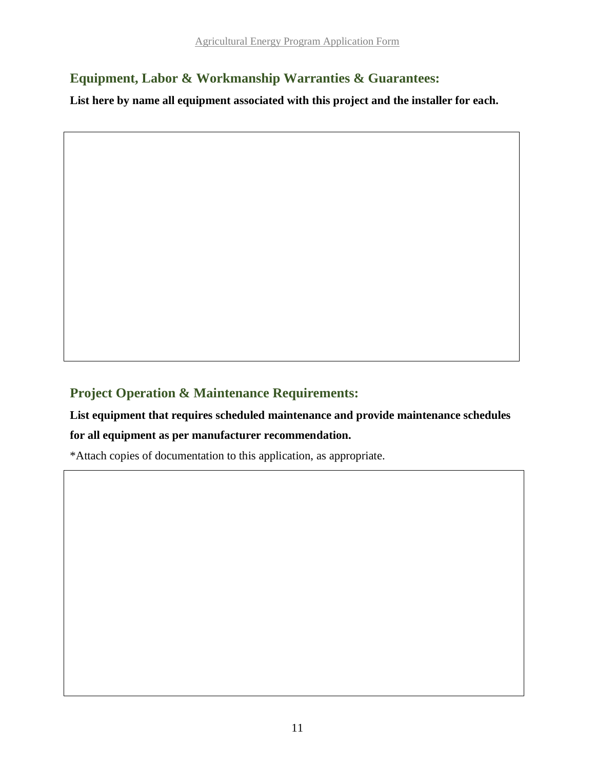# **Equipment, Labor & Workmanship Warranties & Guarantees:**

**List here by name all equipment associated with this project and the installer for each.**

## **Project Operation & Maintenance Requirements:**

# **List equipment that requires scheduled maintenance and provide maintenance schedules for all equipment as per manufacturer recommendation.**

\*Attach copies of documentation to this application, as appropriate.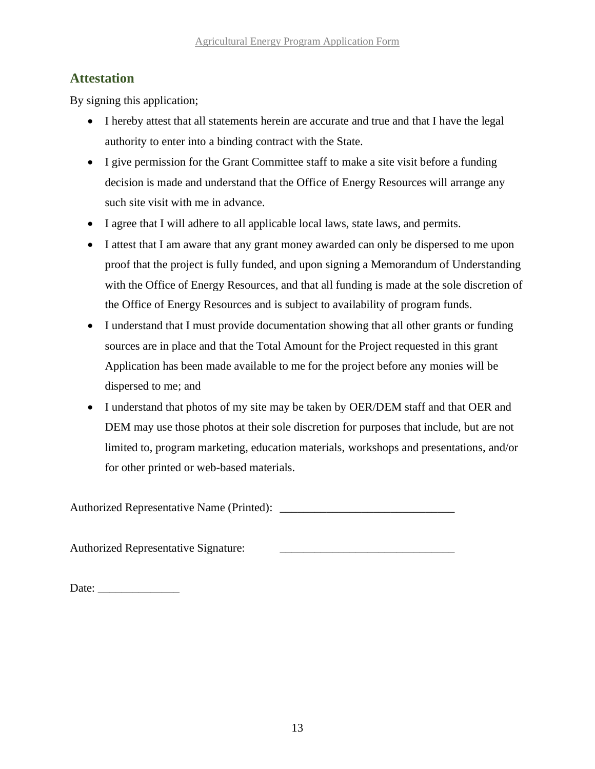### **Attestation**

By signing this application;

- I hereby attest that all statements herein are accurate and true and that I have the legal authority to enter into a binding contract with the State.
- I give permission for the Grant Committee staff to make a site visit before a funding decision is made and understand that the Office of Energy Resources will arrange any such site visit with me in advance.
- I agree that I will adhere to all applicable local laws, state laws, and permits.
- I attest that I am aware that any grant money awarded can only be dispersed to me upon proof that the project is fully funded, and upon signing a Memorandum of Understanding with the Office of Energy Resources, and that all funding is made at the sole discretion of the Office of Energy Resources and is subject to availability of program funds.
- I understand that I must provide documentation showing that all other grants or funding sources are in place and that the Total Amount for the Project requested in this grant Application has been made available to me for the project before any monies will be dispersed to me; and
- I understand that photos of my site may be taken by OER/DEM staff and that OER and DEM may use those photos at their sole discretion for purposes that include, but are not limited to, program marketing, education materials, workshops and presentations, and/or for other printed or web-based materials.

Authorized Representative Name (Printed): \_\_\_\_\_\_\_\_\_\_\_\_\_\_\_\_\_\_\_\_\_\_\_\_\_\_\_\_\_\_

Authorized Representative Signature:

Date: \_\_\_\_\_\_\_\_\_\_\_\_\_\_